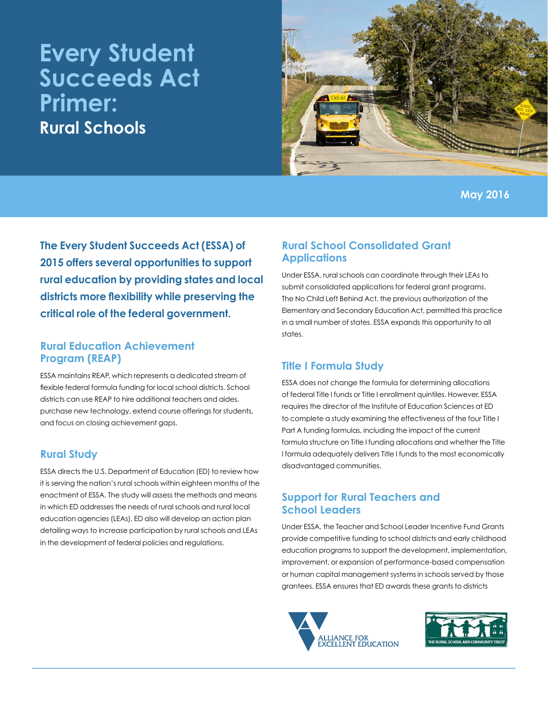# **Every Student Succeeds Act Primer: Rural Schools**



**The Every Student Succeeds Act (ESSA) of 2015 offers several opportunities to support rural education by providing states and local districts more flexibility while preserving the critical role of the federal government.**

### **Rural Education Achievement Program (REAP)**

ESSA maintains REAP, which represents a dedicated stream of flexible federal formula funding for local school districts. School districts can use REAP to hire additional teachers and aides, purchase new technology, extend course offerings for students, and focus on closing achievement gaps.

#### **Rural Study**

ESSA directs the U.S. Department of Education (ED) to review how it is serving the nation's rural schools within eighteen months of the enactment of ESSA. The study will assess the methods and means in which ED addresses the needs of rural schools and rural local education agencies (LEAs). ED also will develop an action plan detailing ways to increase participation by rural schools and LEAs in the development of federal policies and regulations.

# **Rural School Consolidated Grant Applications**

Under ESSA, rural schools can coordinate through their LEAs to submit consolidated applications for federal grant programs. The No Child Left Behind Act, the previous authorization of the Elementary and Secondary Education Act, permitted this practice in a small number of states. ESSA expands this opportunity to all states.

# **Title I Formula Study**

ESSA does not change the formula for determining allocations of federal Title I funds or Title I enrollment quintiles. However, ESSA requires the director of the Institute of Education Sciences at ED to complete a study examining the effectiveness of the four Title I Part A funding formulas, including the impact of the current formula structure on Title I funding allocations and whether the Title I formula adequately delivers Title I funds to the most economically disadvantaged communities.

# **Support for Rural Teachers and School Leaders**

Under ESSA, the Teacher and School Leader Incentive Fund Grants provide competitive funding to school districts and early childhood education programs to support the development, implementation, improvement, or expansion of performance-based compensation or human capital management systems in schools served by those grantees. ESSA ensures that ED awards these grants to districts